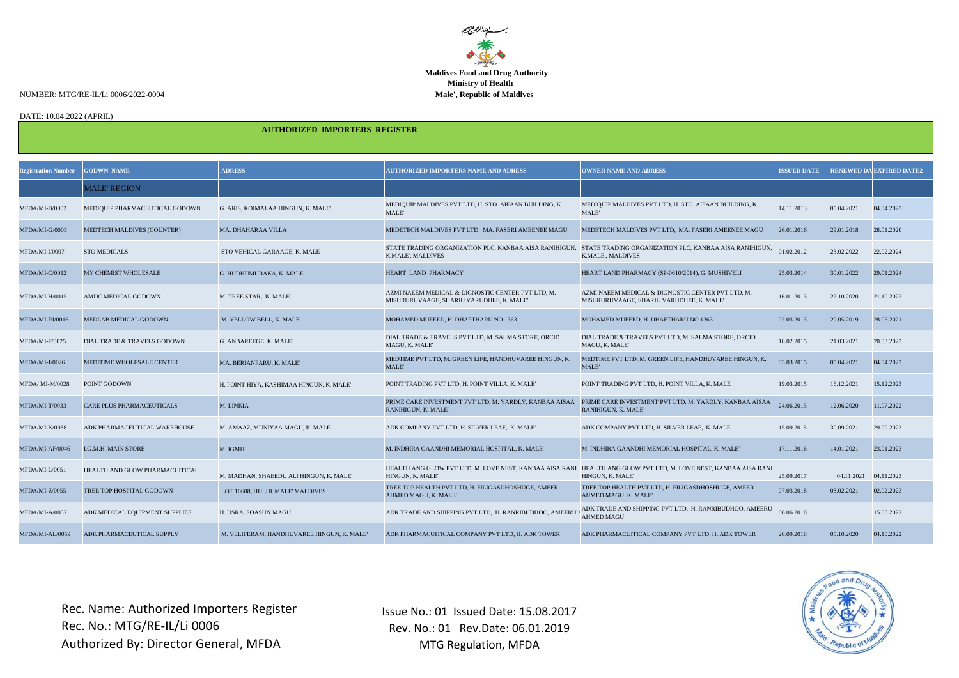

NUMBER: MTG/RE-IL/Li 0006/2022-0004 **Male', Republic of Maldives**

DATE: 10.04.2022 (APRIL)

 **AUTHORIZED IMPORTERS REGISTER** 

| <b>Registration Number</b> | <b>GODWN NAME</b>                      | <b>ADRESS</b>                              | <b>AUTHORIZED IMPORTERS NAME AND ADRESS</b>                                                                                         | <b>OWNER NAME AND ADRESS</b>                                                                  | <b>ISSUED DATE</b> |            | <b>RENEWED DA EXPIRED DATE2</b> |
|----------------------------|----------------------------------------|--------------------------------------------|-------------------------------------------------------------------------------------------------------------------------------------|-----------------------------------------------------------------------------------------------|--------------------|------------|---------------------------------|
|                            | <b>MALE' REGION</b>                    |                                            |                                                                                                                                     |                                                                                               |                    |            |                                 |
| MFDA/MI-B/0002             | MEDIQUIP PHARMACEUTICAL GODOWN         | G. ARIS, KOIMALAA HINGUN, K. MALE'         | MEDIQUIP MALDIVES PVT LTD, H. STO. AIFAAN BUILDING, K.<br>MALE'                                                                     | MEDIQUIP MALDIVES PVT LTD, H. STO. AIFAAN BUILDING, K.<br>MALE'                               | 14.11.2013         | 05.04.2021 | 04.04.2023                      |
| MFDA/MI-G/0003             | <b>MEDTECH MALDIVES (COUNTER)</b>      | <b>MA, DHAHARAA VILLA</b>                  | MEDETECH MALDIVES PVT LTD, MA. FASERI AMEENEE MAGU                                                                                  | MEDETECH MALDIVES PVT LTD, MA. FASERI AMEENEE MAGU                                            | 26.01.2016         | 29.01.2018 | 28.01.2020                      |
| MFDA/MI-I/0007             | <b>STO MEDICALS</b>                    | STO VEHICAL GARAAGE, K. MALE               | STATE TRADING ORGANIZATION PLC, KANBAA AISA RANIHIGUN, STATE TRADING ORGANIZATION PLC, KANBAA AISA RANIHIGUN,<br>K.MALE', MALDIVES  | K.MALE', MALDIVES                                                                             | 01.02.2012         | 23.02.2022 | 22.02.2024                      |
| MFDA/MI-C/0012             | <b>MY CHEMIST WHOLESALE</b>            | G. HUDHUMURAKA, K. MALE'                   | HEART LAND PHARMACY                                                                                                                 | HEART LAND PHARMACY (SP-0610/2014), G. MUSHIVELI                                              | 25.03.2014         | 30.01.2022 | 29.01.2024                      |
| MFDA/MI-H/0015             | AMDC MEDICAL GODOWN                    | M. TREE STAR, K. MALE'                     | AZMI NAEEM MEDICAL & DIGNOSTIC CENTER PVT LTD. M.<br>MISURURUVAAGE, SHARIU VARUDHEE, K. MALE'                                       | AZMI NAEEM MEDICAL & DIGNOSTIC CENTER PVT LTD. M.<br>MISURURUVAAGE, SHARIU VARUDHEE, K. MALE' | 16.01.2013         | 22.10.2020 | 21.10.2022                      |
| MFDA/MI-RI/0016            | MEDLAB MEDICAL GODOWN                  | M. YELLOW BELL, K. MALE'                   | MOHAMED MUFEED, H. DHAFTHARU NO 1363                                                                                                | MOHAMED MUFEED, H. DHAFTHARU NO 1363                                                          | 07.03.2013         | 29.05.2019 | 28.05.2021                      |
| MFDA/MI-F/0025             | <b>DIAL TRADE &amp; TRAVELS GODOWN</b> | G. ANBAREEGE, K. MALE'                     | DIAL TRADE & TRAVELS PVT LTD, M. SALMA STORE, ORCID<br>MAGU, K. MALE'                                                               | DIAL TRADE & TRAVELS PVT LTD, M. SALMA STORE, ORCID<br>MAGU, K. MALE'                         | 18.02.2015         | 21.03.2021 | 20.03.2023                      |
| MFDA/MI-J/0026             | <b>MEDITIME WHOLESALE CENTER</b>       | MA. BERIANFARU, K. MALE'                   | MEDTIME PVT LTD. M. GREEN LIFE. HANDHUVAREE HINGUN, K.<br>MALE'                                                                     | MEDTIME PVT LTD. M. GREEN LIFE. HANDHUVAREE HINGUN, K.<br>MALE'                               | 03.03.2015         | 05.04.2021 | 04.04.2023                      |
| MFDA/MI-M/0028             | POINT GODOWN                           | H. POINT HIYA, KASHIMAA HINGUN, K. MALE'   | POINT TRADING PVT LTD, H. POINT VILLA, K. MALE'                                                                                     | POINT TRADING PVT LTD, H. POINT VILLA, K. MALE'                                               | 19.03.2015         | 16.12.2021 | 15.12.2023                      |
| MFDA/MI-T/0033             | <b>CARE PLUS PHARMACEUTICALS</b>       | M. LINKIA                                  | PRIME CARE INVESTMENT PVT LTD, M. YARDLY, KANBAA AISAA<br>RANIHIGUN, K. MALE'                                                       | PRIME CARE INVESTMENT PVT LTD, M. YARDLY, KANBAA AISAA<br>RANIHIGUN, K. MALE'                 | 24.06.2015         | 12.06.2020 | 11.07.2022                      |
| MFDA/MI-K/0038             | ADK PHARMACEUTICAL WAREHOUSE           | M. AMAAZ, MUNIYAA MAGU, K. MALE'           | ADK COMPANY PVT LTD, H. SILVER LEAF, K. MALE'                                                                                       | ADK COMPANY PVT LTD, H. SILVER LEAF, K. MALE'                                                 | 15.09.2015         | 30.09.2021 | 29.09.2023                      |
| MFDA/MI-AF/0046            | <b>I.G.M.H MAIN STORE</b>              | M. IGMH                                    | M. INDHIRA GAANDHI MEMORIAL HOSPITAL, K. MALE'                                                                                      | M. INDHIRA GAANDHI MEMORIAL HOSPITAL, K. MALE'                                                | 17.11.2016         | 14.01.2021 | 23.01.2023                      |
| MFDA/MI-L/0051             | HEALTH AND GLOW PHARMACUITICAL         | M. MADHAN, SHAEEDU ALI HINGUN, K. MALE'    | HEALTH ANG GLOW PVT LTD, M. LOVE NEST, KANBAA AISA RANI HEALTH ANG GLOW PVT LTD, M. LOVE NEST, KANBAA AISA RANI<br>HINGUN, K. MALE' | HINGUN, K. MALE'                                                                              | 25.09.2017         | 04.11.2021 | 04.11.2023                      |
| MFDA/MI-Z/0055             | TREE TOP HOSPITAL GODOWN               | LOT 10608. HULHUMALE' MALDIVES             | TREE TOP HEALTH PVT LTD. H. FILIGASDHOSHUGE, AMEER<br>AHMED MAGU, K. MALE'                                                          | TREE TOP HEALTH PVT LTD. H. FILIGASDHOSHUGE, AMEER<br>AHMED MAGU, K. MALE'                    | 07.03.2018         | 03.02.2021 | 02.02.2023                      |
| MFDA/MI-A/0057             | ADK MEDICAL EQUIPMENT SUPPLIES         | H. USRA, SOASUN MAGU                       | ADK TRADE AND SHIPPING PVT LTD, H. RANRIBUDHOO, AMEERI                                                                              | ADK TRADE AND SHIPPING PVT LTD, H. RANRIBUDHOO, AMEERU<br><b>AHMED MAGU</b>                   | 06.06.2018         |            | 15.08.2022                      |
| MFDA/MI-AL/0059            | ADK PHARMACEUTICAL SUPPLY              | M. VELIFERAM. HANDHUVAREE HINGUN, K. MALE' | ADK PHARMACUITICAL COMPANY PVT LTD, H. ADK TOWER                                                                                    | ADK PHARMACUITICAL COMPANY PVT LTD. H. ADK TOWER                                              | 20.09.2018         | 05.10.2020 | 04.10.2022                      |

Issue No.: 01 Issued Date: 15.08.2017 Rev. No.: 01 Rev.Date: 06.01.2019 MTG Regulation, MFDA

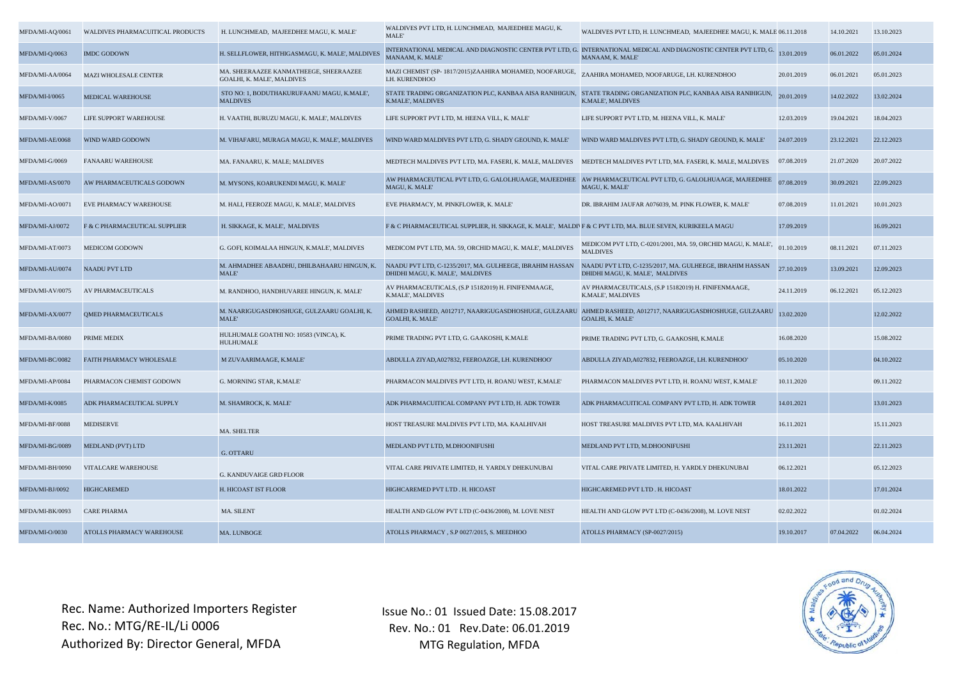| MFDA/MI-AQ/0061 | <b>WALDIVES PHARMACUITICAL PRODUCTS</b> | H. LUNCHMEAD, MAJEEDHEE MAGU, K. MALE'                               | WALDIVES PVT LTD, H. LUNCHMEAD, MAJEEDHEE MAGU, K.<br>MALE'                                                                                          | WALDIVES PVT LTD, H. LUNCHMEAD, MAJEEDHEE MAGU, K. MALE 06.11.2018                                                                  |            | 14.10.2021 | 13.10.2023 |
|-----------------|-----------------------------------------|----------------------------------------------------------------------|------------------------------------------------------------------------------------------------------------------------------------------------------|-------------------------------------------------------------------------------------------------------------------------------------|------------|------------|------------|
| MFDA/MI-Q/0063  | <b>IMDC GODOWN</b>                      | H. SELLFLOWER, HITHIGASMAGU, K. MALE', MALDIVES                      | MANAAM, K. MALE'                                                                                                                                     | INTERNATIONAL MEDICAL AND DIAGNOSTIC CENTER PVT LTD, G. INTERNATIONAL MEDICAL AND DIAGNOSTIC CENTER PVT LTD, G.<br>MANAAM, K. MALE' | 13.01.2019 | 06.01.2022 | 05.01.2024 |
| MFDA/MI-AA/0064 | <b>MAZI WHOLESALE CENTER</b>            | MA. SHEERAAZEE KANMATHEEGE. SHEERAAZEE<br>GOALHI, K. MALE', MALDIVES | MAZI CHEMIST (SP-1817/2015)ZAAHIRA MOHAMED, NOOFARUGE,<br>LH. KURENDHOO                                                                              | ZAAHIRA MOHAMED, NOOFARUGE, LH. KURENDHOO                                                                                           | 20.01.2019 | 06.01.2021 | 05.01.2023 |
| MFDA/MI-I/0065  | MEDICAL WAREHOUSE                       | STO NO: 1, BODUTHAKURUFAANU MAGU, K.MALE',<br><b>MALDIVES</b>        | STATE TRADING ORGANIZATION PLC, KANBAA AISA RANIHIGUN, STATE TRADING ORGANIZATION PLC, KANBAA AISA RANIHIGUN<br>K.MALE', MALDIVES                    | K.MALE', MALDIVES                                                                                                                   | 20.01.2019 | 14.02.2022 | 13.02.2024 |
| MFDA/MI-V/0067  | LIFE SUPPORT WAREHOUSE                  | H. VAATHI, BURUZU MAGU, K. MALE', MALDIVES                           | LIFE SUPPORT PVT LTD, M. HEENA VILL, K. MALE'                                                                                                        | LIFE SUPPORT PVT LTD, M. HEENA VILL, K. MALE'                                                                                       | 12.03.2019 | 19.04.2021 | 18.04.2023 |
| MFDA/MI-AE/0068 | WIND WARD GODOWN                        | M. VIHAFARU, MURAGA MAGU, K. MALE', MALDIVES                         | WIND WARD MALDIVES PVT LTD, G. SHADY GEOUND, K. MALE'                                                                                                | WIND WARD MALDIVES PVT LTD, G. SHADY GEOUND, K. MALE'                                                                               | 24.07.2019 | 23.12.2021 | 22.12.2023 |
| MFDA/MI-G/0069  | <b>FANAARU WAREHOUSE</b>                | MA. FANAARU, K. MALE; MALDIVES                                       | MEDTECH MALDIVES PVT LTD, MA. FASERI, K. MALE, MALDIVES MEDTECH MALDIVES PVT LTD, MA. FASERI, K. MALE, MALDIVES                                      |                                                                                                                                     | 07.08.2019 | 21.07.2020 | 20.07.2022 |
| MFDA/MI-AS/0070 | AW PHARMACEUTICALS GODOWN               | M. MYSONS, KOARUKENDI MAGU, K. MALE'                                 | AW PHARMACEUTICAL PVT LTD, G. GALOLHUAAGE, MAJEEDHEE AW PHARMACEUTICAL PVT LTD, G. GALOLHUAAGE, MAJEEDHEE<br>MAGU, K. MALE'                          | MAGU, K. MALE'                                                                                                                      | 07.08.2019 | 30.09.2021 | 22.09.2023 |
| MFDA/MI-AO/0071 | EVE PHARMACY WAREHOUSE                  | M. HALI, FEEROZE MAGU, K. MALE', MALDIVES                            | EVE PHARMACY, M. PINKFLOWER, K. MALE'                                                                                                                | DR. IBRAHIM JAUFAR A076039, M. PINK FLOWER, K. MALE'                                                                                | 07.08.2019 | 11.01.2021 | 10.01.2023 |
| MFDA/MI-AJ/0072 | F & C PHARMACEUTICAL SUPPLIER           | H. SIKKAGE, K. MALE', MALDIVES                                       | F & C PHARMACEUTICAL SUPPLIER, H. SIKKAGE, K. MALE', MALDI F & C PVT LTD. MA. BLUE SEVEN, KURIKEELA MAGU                                             |                                                                                                                                     | 17.09.2019 |            | 16.09.2021 |
| MFDA/MI-AT/0073 | <b>MEDICOM GODOWN</b>                   | G. GOFI, KOIMALAA HINGUN, K.MALE', MALDIVES                          | MEDICOM PVT LTD, MA. 59, ORCHID MAGU, K. MALE', MALDIVES                                                                                             | MEDICOM PVT LTD, C-0201/2001, MA. 59, ORCHID MAGU, K. MALE',<br><b>MALDIVES</b>                                                     | 01.10.2019 | 08.11.2021 | 07.11.2023 |
| MFDA/MI-AU/0074 | <b>NAADU PVT LTD</b>                    | M. AHMADHEE ABAADHU, DHILBAHAARU HINGUN, K.<br>MALE'                 | NAADU PVT LTD, C-1235/2017, MA. GULHEEGE, IBRAHIM HASSAN NAADU PVT LTD, C-1235/2017, MA. GULHEEGE, IBRAHIM HASSAN<br>DHIDHI MAGU, K. MALE', MALDIVES | DHIDHI MAGU, K. MALE', MALDIVES                                                                                                     | 27.10.2019 | 13.09.2021 | 12.09.2023 |
| MFDA/MI-AV/0075 | AV PHARMACEUTICALS                      | M. RANDHOO, HANDHUVAREE HINGUN, K. MALE'                             | AV PHARMACEUTICALS, (S.P 15182019) H. FINIFENMAAGE,<br>K.MALE', MALDIVES                                                                             | AV PHARMACEUTICALS, (S.P 15182019) H. FINIFENMAAGE,<br>K.MALE', MALDIVES                                                            | 24.11.2019 | 06.12.2021 | 05.12.2023 |
| MFDA/MI-AX/0077 | <b>OMED PHARMACEUTICALS</b>             | M. NAARIGUGASDHOSHUGE, GULZAARU GOALHI, K.<br>MALE'                  | AHMED RASHEED, A012717, NAARIGUGASDHOSHUGE, GULZAARU   AHMED RASHEED, A012717, NAARIGUGASDHOSHUGE, GULZAARU<br><b>GOALHI, K. MALE'</b>               | <b>GOALHI, K. MALE'</b>                                                                                                             | 13.02.2020 |            | 12.02.2022 |
| MFDA/MI-BA/0080 | PRIME MEDIX                             | HULHUMALE GOATHI NO: 10583 (VINCA), K.<br><b>HULHUMALE</b>           | PRIME TRADING PVT LTD, G. GAAKOSHI, K.MALE                                                                                                           | PRIME TRADING PVT LTD, G. GAAKOSHI, K.MALE                                                                                          | 16.08.2020 |            | 15.08.2022 |
| MFDA/MI-BC/0082 | FAITH PHARMACY WHOLESALE                | M ZUVAARIMAAGE, K.MALE'                                              | ABDULLA ZIYAD, A027832, FEEROAZGE, LH. KURENDHOO'                                                                                                    | ABDULLA ZIYAD, A027832, FEEROAZGE, LH. KURENDHOO'                                                                                   | 05.10.2020 |            | 04.10.2022 |
| MFDA/MI-AP/0084 | PHARMACON CHEMIST GODOWN                | G. MORNING STAR, K.MALE'                                             | PHARMACON MALDIVES PVT LTD. H. ROANU WEST, K.MALE'                                                                                                   | PHARMACON MALDIVES PVT LTD. H. ROANU WEST. K.MALE'                                                                                  | 10.11.2020 |            | 09.11.2022 |
| MFDA/MI-K/0085  | ADK PHARMACEUTICAL SUPPLY               | M. SHAMROCK, K. MALE'                                                | ADK PHARMACUITICAL COMPANY PVT LTD, H. ADK TOWER                                                                                                     | ADK PHARMACUITICAL COMPANY PVT LTD, H. ADK TOWER                                                                                    | 14.01.2021 |            | 13.01.2023 |
| MFDA/MI-BF/0088 | <b>MEDISERVE</b>                        | MA. SHELTER                                                          | HOST TREASURE MALDIVES PVT LTD, MA. KAALHIVAH                                                                                                        | HOST TREASURE MALDIVES PVT LTD, MA. KAALHIVAH                                                                                       | 16.11.2021 |            | 15.11.2023 |
| MFDA/MI-BG/0089 | MEDLAND (PVT) LTD                       | G. OTTARU                                                            | MEDLAND PVT LTD, M.DHOONIFUSHI                                                                                                                       | MEDLAND PVT LTD, M.DHOONIFUSHI                                                                                                      | 23.11.2021 |            | 22.11.2023 |
| MFDA/MI-BH/0090 | <b>VITALCARE WAREHOUSE</b>              | <b>G. KANDUVAIGE GRD FLOOR</b>                                       | VITAL CARE PRIVATE LIMITED, H. YARDLY DHEKUNUBAI                                                                                                     | VITAL CARE PRIVATE LIMITED, H. YARDLY DHEKUNUBAI                                                                                    | 06.12.2021 |            | 05.12.2023 |
| MFDA/MI-BJ/0092 | <b>HIGHCAREMED</b>                      | H. HICOAST IST FLOOR                                                 | HIGHCAREMED PVT LTD. H. HICOAST                                                                                                                      | HIGHCAREMED PVT LTD. H. HICOAST                                                                                                     | 18.01.2022 |            | 17.01.2024 |
| MFDA/MI-BK/0093 | <b>CARE PHARMA</b>                      | MA. SILENT                                                           | HEALTH AND GLOW PVT LTD (C-0436/2008), M. LOVE NEST                                                                                                  | HEALTH AND GLOW PVT LTD (C-0436/2008), M. LOVE NEST                                                                                 | 02.02.2022 |            | 01.02.2024 |
| MFDA/MI-O/0030  | ATOLLS PHARMACY WAREHOUSE               | MA. LUNBOGE                                                          | ATOLLS PHARMACY, S.P 0027/2015, S. MEEDHOO                                                                                                           | ATOLLS PHARMACY (SP-0027/2015)                                                                                                      | 19.10.2017 | 07.04.2022 | 06.04.2024 |

Issue No.: 01 Issued Date: 15.08.2017 Rev. No.: 01 Rev.Date: 06.01.2019 MTG Regulation, MFDA